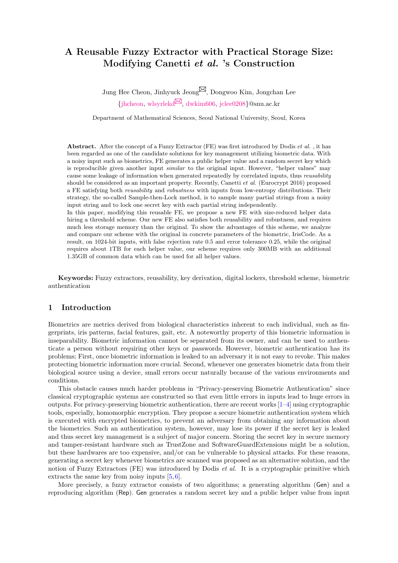# A Reusable Fuzzy Extractor with Practical Storage Size: Modifying Canetti et al. 's Construction

Jung Hee Cheon, Jinhyuck Jeong $\boxtimes$ , Dongwoo Kim, Jongchan Lee  ${\text{jhtheon, wlyyrlekd}}^{\text{M}}$ , [dwkim606,](mailto:dwkim606@snu.ac.kr) [jclee0208](mailto:jclee0208@snu.ac.kr)}@snu.ac.kr

Department of Mathematical Sciences, Seoul National University, Seoul, Korea

Abstract. After the concept of a Fuzzy Extractor (FE) was first introduced by Dodis *et al.*, it has been regarded as one of the candidate solutions for key management utilizing biometric data. With a noisy input such as biometrics, FE generates a public helper value and a random secret key which is reproducible given another input *similar* to the original input. However, "helper values" may cause some leakage of information when generated repeatedly by correlated inputs, thus reusability should be considered as an important property. Recently, Canetti et al. (Eurocrypt 2016) proposed a FE satisfying both reusability and robustness with inputs from low-entropy distributions. Their strategy, the so-called Sample-then-Lock method, is to sample many partial strings from a noisy input string and to lock one secret key with each partial string independently.

In this paper, modifying this reusable FE, we propose a new FE with size-reduced helper data hiring a threshold scheme. Our new FE also satisfies both reusability and robustness, and requires much less storage memory than the original. To show the advantages of this scheme, we analyze and compare our scheme with the original in concrete parameters of the biometric, IrisCode. As a result, on 1024-bit inputs, with false rejection rate 0.5 and error tolerance 0.25, while the original requires about 1TB for each helper value, our scheme requires only 300MB with an additional 1.35GB of common data which can be used for all helper values.

Keywords: Fuzzy extractors, reusability, key derivation, digital lockers, threshold scheme, biometric authentication

## 1 Introduction

Biometrics are metrics derived from biological characteristics inherent to each individual, such as fingerprints, iris patterns, facial features, gait, etc. A noteworthy property of this biometric information is inseparability. Biometric information cannot be separated from its owner, and can be used to authenticate a person without requiring other keys or passwords. However, biometric authentication has its problems; First, once biometric information is leaked to an adversary it is not easy to revoke. This makes protecting biometric information more crucial. Second, whenever one generates biometric data from their biological source using a device, small errors occur naturally because of the various environments and conditions.

This obstacle causes much harder problems in "Privacy-preserving Biometric Authentication" since classical cryptographic systems are constructed so that even little errors in inputs lead to huge errors in outputs. For privacy-preserving biometric authentication, there are recent works  $[1-4]$  $[1-4]$  using cryptographic tools, especially, homomorphic encryption. They propose a secure biometric authentication system which is executed with encrypted biometrics, to prevent an adversary from obtaining any information about the biometrics. Such an authentication system, however, may lose its power if the secret key is leaked and thus secret key management is a subject of major concern. Storing the secret key in secure memory and tamper-resistant hardware such as TrustZone and SoftwareGuardExtensions might be a solution, but these hardwares are too expensive, and/or can be vulnerable to physical attacks. For these reasons, generating a secret key whenever biometrics are scanned was proposed as an alternative solution, and the notion of Fuzzy Extractors (FE) was introduced by Dodis et al. It is a cryptographic primitive which extracts the same key from noisy inputs [\[5,](#page-11-0) [6\]](#page-11-1).

More precisely, a fuzzy extractor consists of two algorithms; a generating algorithm (Gen) and a reproducing algorithm (Rep). Gen generates a random secret key and a public helper value from input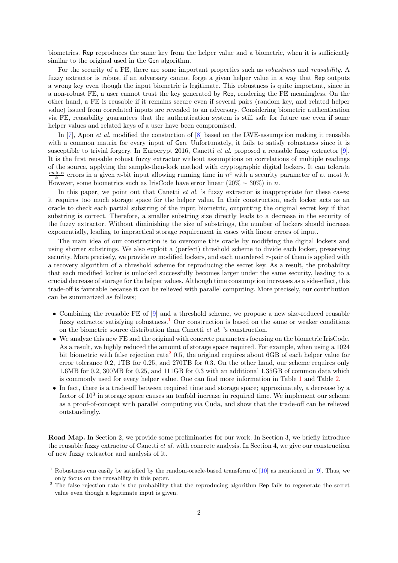biometrics. Rep reproduces the same key from the helper value and a biometric, when it is sufficiently similar to the original used in the Gen algorithm.

For the security of a FE, there are some important properties such as *robustness* and *reusability*. A fuzzy extractor is robust if an adversary cannot forge a given helper value in a way that Rep outputs a wrong key even though the input biometric is legitimate. This robustness is quite important, since in a non-robust FE, a user cannot trust the key generated by Rep, rendering the FE meaningless. On the other hand, a FE is reusable if it remains secure even if several pairs (random key, and related helper value) issued from correlated inputs are revealed to an adversary. Considering biometric authentication via FE, reusability guarantees that the authentication system is still safe for future use even if some helper values and related keys of a user have been compromised.

In [\[7\]](#page-11-2), Apon *et al.* modified the constuction of [\[8\]](#page-11-3) based on the LWE-assumption making it reusable with a common matrix for every input of Gen. Unfortunately, it fails to satisfy robustness since it is susceptible to trivial forgery. In Eurocrypt 2016, Canetti et al. proposed a reusable fuzzy extractor [\[9\]](#page-11-4). It is the first reusable robust fuzzy extractor without assumptions on correlations of multiple readings of the source, applying the sample-then-lock method with cryptographic digital lockers. It can tolerate  $\frac{cn\ln n}{k}$  errors in a given *n*-bit input allowing running time in  $n^c$  with a security parameter of at most k. However, some biometrics such as IrisCode have error linear  $(20\% \sim 30\%)$  in n.

In this paper, we point out that Canetti  $et$  al. 's fuzzy extractor is inappropriate for these cases; it requires too much storage space for the helper value. In their construction, each locker acts as an oracle to check each partial substring of the input biometric, outputting the original secret key if that substring is correct. Therefore, a smaller substring size directly leads to a decrease in the security of the fuzzy extractor. Without diminishing the size of substrings, the number of lockers should increase exponentially, leading to impractical storage requirement in cases with linear errors of input.

The main idea of our construction is to overcome this oracle by modifying the digital lockers and using shorter substrings. We also exploit a (perfect) threshold scheme to divide each locker, preserving security. More precisely, we provide m modified lockers, and each unordered  $\tau$ -pair of them is applied with a recovery algorithm of a threshold scheme for reproducing the secret key. As a result, the probability that each modified locker is unlocked successfully becomes larger under the same security, leading to a crucial decrease of storage for the helper values. Although time consumption increases as a side-effect, this trade-off is favorable because it can be relieved with parallel computing. More precisely, our contribution can be summarized as follows;

- Combining the reusable FE of [\[9\]](#page-11-4) and a threshold scheme, we propose a new size-reduced reusable fuzzy extractor satisfying robustness.<sup>[1](#page-1-0)</sup> Our construction is based on the same or weaker conditions on the biometric source distribution than Canetti et al. 's construction.
- We analyze this new FE and the original with concrete parameters focusing on the biometric IrisCode. As a result, we highly reduced the amount of storage space required. For example, when using a 1024 bit biometric with false rejection rate<sup>[2](#page-1-1)</sup> 0.5, the original requires about 6GB of each helper value for error tolerance 0.2, 1TB for 0.25, and 270TB for 0.3. On the other hand, our scheme requires only 1.6MB for 0.2, 300MB for 0.25, and 111GB for 0.3 with an additional 1.35GB of common data which is commonly used for every helper value. One can find more information in Table [1](#page-6-0) and Table [2.](#page-9-0)
- In fact, there is a trade-off between required time and storage space; approximately, a decrease by a factor of  $10<sup>3</sup>$  in storage space causes an tenfold increase in required time. We implement our scheme as a proof-of-concept with parallel computing via Cuda, and show that the trade-off can be relieved outstandingly.

Road Map. In Section 2, we provide some preliminaries for our work. In Section 3, we briefly introduce the reusable fuzzy extractor of Canetti et al. with concrete analysis. In Section 4, we give our construction of new fuzzy extractor and analysis of it.

<span id="page-1-0"></span><sup>&</sup>lt;sup>1</sup> Robustness can easily be satisfied by the random-oracle-based transform of  $[10]$  as mentioned in  $[9]$ . Thus, we only focus on the reusability in this paper.

<span id="page-1-1"></span><sup>&</sup>lt;sup>2</sup> The false rejection rate is the probability that the reproducing algorithm Rep fails to regenerate the secret value even though a legitimate input is given.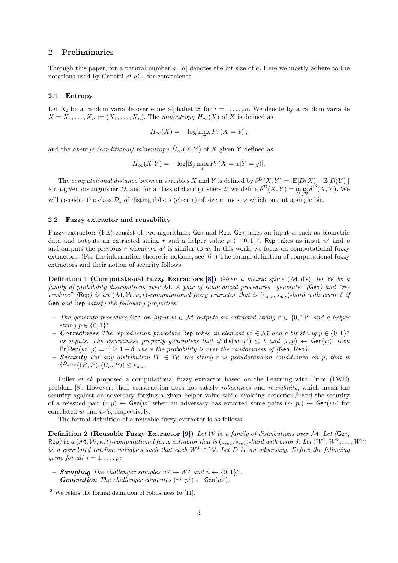## 2 Preliminaries

Through this paper, for a natural number  $a, |a|$  denotes the bit size of a. Here we mostly adhere to the notations used by Canetti et al. , for convenience.

#### 2.1 Entropy

Let  $X_i$  be a random variable over some alphabet  $\mathcal Z$  for  $i = 1, \ldots, n$ . We denote by a random variable  $X = X_1, \ldots, X_n := (X_1, \ldots, X_n)$ . The minentropy  $H_{\infty}(X)$  of X is defined as

$$
H_{\infty}(X) = -\log[\max_{x} Pr(X = x)],
$$

and the *average (conditional) minentropy*  $\tilde{H}_{\infty}(X|Y)$  of X given Y defined as

$$
\tilde{H}_{\infty}(X|Y) = -\log[\mathbb{E}_y \max_x \Pr(X = x|Y = y)].
$$

The computational distance between variables X and Y is defined by  $\delta^D(X,Y) = |\mathbb{E}[D(X)| - \mathbb{E}[D(Y)]|$ for a given distinguisher D, and for a class of distinguishers D we define  $\delta^{\mathcal{D}}(X,Y) = \max_{D \in \mathcal{D}} \delta^D(X,Y)$ . We will consider the class  $\mathcal{D}_s$  of distinguishers (circuit) of size at most s which output a single bit.

#### 2.2 Fuzzy extractor and reusability

Fuzzy extractors (FE) consist of two algorithms; Gen and Rep. Gen takes an input w such as biometric data and outputs an extracted string r and a helper value  $p \in \{0,1\}^*$ . Rep takes as input w' and p and outputs the previous r whenever  $w'$  is similar to w. In this work, we focus on computational fuzzy extractors. (For the information-theoretic notions, see [\[6\]](#page-11-1).) The formal definition of computational fuzzy extractors and their notion of security follows.

**Definition 1 (Computational Fuzzy Extractors [\[8\]](#page-11-3))** Given a metric space  $(M, \text{dis})$ , let W be a family of probability distributions over M. A pair of randomized procedures "generate" (Gen) and "reproduce" (Rep) is an  $(M, W, \kappa, t)$ -computational fuzzy extractor that is  $(\varepsilon_{sec}, s_{sec})$ -hard with error  $\delta$  if Gen and Rep satisfy the following properties:

- The generate procedure Gen on input  $w \in \mathcal{M}$  outputs an extracted string  $r \in \{0,1\}^{\kappa}$  and a helper string  $p \in \{0,1\}^*$ .
- − Correctness The reproduction procedure Rep takes an element  $w' \in \mathcal{M}$  and a bit string  $p \in \{0,1\}^*$ as inputs. The correctness property guarantees that if  $dis(w, w') \leq t$  and  $(r, p) \leftarrow Gen(w)$ , then  $Pr[Rep(w', p) = r] \ge 1 - \delta$  where the probability is over the randomness of (Gen, Rep).
- **Security** For any distribution  $W \in \mathcal{W}$ , the string r is pseudorandom conditioned on p, that is  $\delta^{D_{s,ec}}((R,P),(U_{\kappa},P)) \leq \varepsilon_{sec}.$

Fuller *et al.* proposed a computational fuzzy extractor based on the Learning with Error (LWE) problem [\[8\]](#page-11-3). However, their construction does not satisfy robustness and reusability, which mean the security against an adversary forging a given helper value while avoiding detection,<sup>[3](#page-2-0)</sup> and the security of a reissued pair  $(r, p) \leftarrow$  Gen $(w)$  when an adversary has extorted some pairs  $(r_i, p_i) \leftarrow$  Gen $(w_i)$  for correlated  $w$  and  $w_i$ 's, respectively.

The formal definition of a reusable fuzzy extractor is as follows:

**Definition 2 (Reusable Fuzzy Extractor [\[9\]](#page-11-4))** Let W be a family of distributions over M. Let (Gen, Rep) be a  $(M, W, \kappa, t)$ -computational fuzzy extractor that is  $(\varepsilon_{sec}, s_{sec})$ -hard with error  $\delta$ . Let  $(W^1, W^2, \ldots, W^{\rho})$ be ρ correlated random variables such that each  $W^j \in \mathcal{W}$ . Let D be an adversary. Define the following qame for all  $j = 1, \ldots, \rho$ :

- **Sampling** The challenger samples  $w^j \leftarrow W^j$  and  $u \leftarrow \{0,1\}^{\kappa}$ .

- Generation The challenger computes  $(r^j, p^j) \leftarrow \textsf{Gen}(w^j)$ .

<span id="page-2-0"></span> $3$  We refers the formal definition of robustness to [\[11\]](#page-11-6).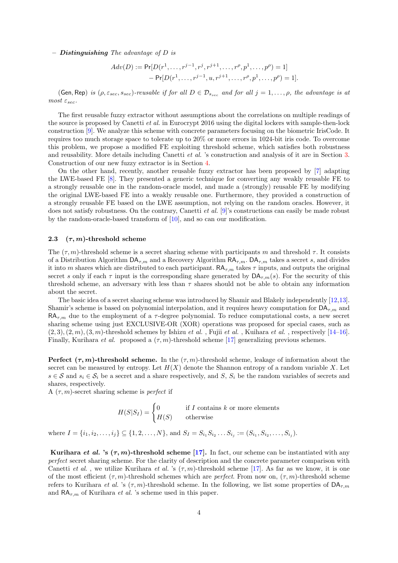$-$  **Distinguishing** The advantage of D is

$$
Adv(D) := \Pr[D(r^1, \dots, r^{j-1}, r^j, r^{j+1}, \dots, r^{\rho}, p^1, \dots, p^{\rho}) = 1] \\
\quad - \Pr[D(r^1, \dots, r^{j-1}, u, r^{j+1}, \dots, r^{\rho}, p^1, \dots, p^{\rho}) = 1].
$$

(Gen, Rep) is  $(\rho, \varepsilon_{sec}, s_{sec})$ -reusable if for all  $D \in \mathcal{D}_{s_{sec}}$  and for all  $j = 1, \ldots, \rho$ , the advantage is at most  $\varepsilon_{sec}$ .

The first reusable fuzzy extractor without assumptions about the correlations on multiple readings of the source is proposed by Canetti et al. in Eurocrypt 2016 using the digital lockers with sample-then-lock construction [\[9\]](#page-11-4). We analyze this scheme with concrete parameters focusing on the biometric IrisCode. It requires too much storage space to tolerate up to 20% or more errors in 1024-bit iris code. To overcome this problem, we propose a modified FE exploiting threshold scheme, which satisfies both robustness and reusability. More details including Canetti et al. 's construction and analysis of it are in Section [3.](#page-4-0) Construction of our new fuzzy extractor is in Section [4.](#page-6-1)

On the other hand, recently, another reusable fuzzy extractor has been proposed by [\[7\]](#page-11-2) adapting the LWE-based FE [\[8\]](#page-11-3). They presented a generic technique for converting any weakly reusable FE to a strongly reusable one in the random-oracle model, and made a (strongly) reusable FE by modifying the original LWE-based FE into a weakly reusable one. Furthermore, they provided a construction of a strongly reusable FE based on the LWE assumption, not relying on the random oracles. However, it does not satisfy robustness. On the contrary, Canetti *et al.* [\[9\]](#page-11-4)'s constructions can easily be made robust by the random-oracle-based transform of [\[10\]](#page-11-5), and so can our modification.

#### 2.3  $(\tau, m)$ -threshold scheme

The  $(\tau, m)$ -threshold scheme is a secret sharing scheme with participants m and threshold  $\tau$ . It consists of a Distribution Algorithm  $\mathsf{DA}_{\tau,m}$  and a Recovery Algorithm  $\mathsf{RA}_{\tau,m}$ .  $\mathsf{DA}_{\tau,m}$  takes a secret s, and divides it into m shares which are distributed to each participant.  $\mathsf{RA}_{\tau,m}$  takes  $\tau$  inputs, and outputs the original secret s only if each  $\tau$  input is the corresponding share generated by  $\mathsf{DA}_{\tau,m}(s)$ . For the security of this threshold scheme, an adversary with less than  $\tau$  shares should not be able to obtain any information about the secret.

The basic idea of a secret sharing scheme was introduced by Shamir and Blakely independently [\[12,](#page-11-7)[13\]](#page-11-8). Shamir's scheme is based on polynomial interpolation, and it requires heavy computation for  $\mathsf{DA}_{\tau,m}$  and  $RA_{\tau,m}$  due to the employment of a  $\tau$ -degree polynomial. To reduce computational costs, a new secret sharing scheme using just EXCLUSIVE-OR (XOR) operations was proposed for special cases, such as  $(2, 3), (2, m), (3, m)$ -threshold schemes by Ishizu *et al.*, Fujii *et al.*, Kuihara *et al.*, respectively [\[14–](#page-11-9)[16\]](#page-11-10). Finally, Kurihara *et al.* proposed a  $(\tau, m)$ -threshold scheme [\[17\]](#page-11-11) generalizing previous schemes.

**Perfect**  $(\tau, m)$ -threshold scheme. In the  $(\tau, m)$ -threshold scheme, leakage of information about the secret can be measured by entropy. Let  $H(X)$  denote the Shannon entropy of a random variable X. Let  $s \in S$  and  $s_i \in S_i$  be a secret and a share respectively, and S,  $S_i$  be the random variables of secrets and shares, respectively.

A  $(\tau, m)$ -secret sharing scheme is *perfect* if

$$
H(S|S_I) = \begin{cases} 0 & \text{if } I \text{ contains } k \text{ or more elements} \\ H(S) & \text{otherwise} \end{cases}
$$

where  $I = \{i_1, i_2, \ldots, i_j\} \subseteq \{1, 2, \ldots, N\}$ , and  $S_I = S_{i_1} S_{i_2} \ldots S_{i_j} := (S_{i_1}, S_{i_2}, \ldots, S_{i_j})$ .

Kurihara et al. 's  $(\tau, m)$ -threshold scheme [\[17\]](#page-11-11). In fact, our scheme can be instantiated with any perfect secret sharing scheme. For the clarity of description and the concrete parameter comparison with Canetti *et al.*, we utilize Kurihara *et al.* 's  $(\tau, m)$ -threshold scheme [\[17\]](#page-11-11). As far as we know, it is one of the most efficient  $(\tau, m)$ -threshold schemes which are *perfect*. From now on,  $(\tau, m)$ -threshold scheme refers to Kurihara et al. 's  $(\tau, m)$ -threshold scheme. In the following, we list some properties of  $DA_{\tau,m}$ and  $\mathsf{RA}_{\tau,m}$  of Kurihara *et al.* 's scheme used in this paper.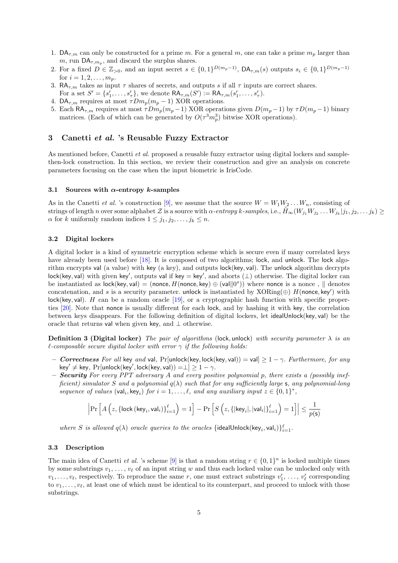- 1.  $DA_{\tau,m}$  can only be constructed for a prime m. For a general m, one can take a prime  $m_p$  larger than m, run  $\mathsf{DA}_{\tau,m_p}$ , and discard the surplus shares.
- 2. For a fixed  $D \in \mathbb{Z}_{>0}$ , and an input secret  $s \in \{0,1\}^{D(m_p-1)}$ ,  $\mathsf{DA}_{\tau,m}(s)$  outputs  $s_i \in \{0,1\}^{D(m_p-1)}$ for  $i = 1, 2, ..., m_p$ .
- 3. RA<sub> $\tau$ ,m</sub> takes as input  $\tau$  shares of secrets, and outputs s if all  $\tau$  inputs are correct shares. For a set  $S' = \{s'_1, \ldots, s'_{\tau}\}\$ , we denote  $\mathsf{RA}_{\tau,m}(S') := \mathsf{RA}_{\tau,m}(s'_1, \ldots, s'_{\tau})\$ .
- 4.  $DA_{\tau,m}$  requires at most  $\tau Dm_p(m_p-1)$  XOR operations.
- 5. Each RA<sub> $\tau$ ,m</sub> requires at most  $\tau Dm_p(m_p-1)$  XOR operations given  $D(m_p-1)$  by  $\tau D(m_p-1)$  binary matrices. (Each of which can be generated by  $O(\tau^3 m_p^3)$  bitwise XOR operations).

## <span id="page-4-0"></span>3 Canetti et al. 's Reusable Fuzzy Extractor

As mentioned before, Canetti et al. proposed a reusable fuzzy extractor using digital lockers and samplethen-lock construction. In this section, we review their construction and give an analysis on concrete parameters focusing on the case when the input biometric is IrisCode.

## 3.1 Sources with  $\alpha$ -entropy k-samples

As in the Canetti et al. 's construction [\[9\]](#page-11-4), we assume that the source  $W = W_1 W_2 \dots W_n$ , consisting of strings of length n over some alphabet  $\mathcal Z$  is a source with  $\alpha$ -entropy k-samples, i.e.,  $\tilde H_\infty(W_{j_1}W_{j_2}\ldots W_{j_k}|j_1,j_2,\ldots j_k)\geq 0$  $\alpha$  for k uniformly random indices  $1 \leq j_1, j_2, \ldots, j_k \leq n$ .

#### 3.2 Digital lockers

A digital locker is a kind of symmetric encryption scheme which is secure even if many correlated keys have already been used before [\[18\]](#page-11-12). It is composed of two algorithms; lock, and unlock. The lock algorithm encrypts val (a value) with key (a key), and outputs lock(key, val). The unlock algorithm decrypts  $lock(key, val)$  with given key', outputs val if key = key', and aborts  $(\perp)$  otherwise. The digital locker can be instantiated as  $lock(key,val) = (none, H(none, key) \oplus (val||0<sup>s</sup>))$  where nonce is a nonce,  $\parallel$  denotes concatenation, and s is a security parameter. unlock is instantiated by XORing( $\oplus$ )  $H$ (nonce, key') with  $lock(key, val)$ . H can be a random oracle [\[19\]](#page-11-13), or a cryptographic hash function with specific properties [\[20\]](#page-11-14). Note that nonce is usually different for each lock, and by hashing it with key, the correlation between keys disappears. For the following definition of digital lockers, let idealUnlock(key, val) be the oracle that returns val when given key, and ⊥ otherwise.

<span id="page-4-1"></span>**Definition 3 (Digital locker)** The pair of algorithms (lock, unlock) with security parameter  $\lambda$  is an  $\ell$ -composable secure digital locker with error  $\gamma$  if the following holds:

- Correctness For all key and val, Pr[unlock(key, lock(key, val)) = val $\geq 1 \gamma$ . Furthermore, for any key'  $\neq$  key, Pr[unlock(key', lock(key, val)) = $\bot$ ]  $\geq 1 - \gamma$ .
- **Security** For every PPT adversary A and every positive polynomial p, there exists a (possibly inefficient) simulator S and a polynomial  $q(\lambda)$  such that for any sufficiently large s, any polynomial-long sequence of values  $(\text{val}_i, \text{key}_i)$  for  $i = 1, ..., \ell$ , and any auxiliary input  $z \in \{0, 1\}^*$ ,

$$
\left|\Pr\left[A\left(z,\left\{\mathsf{lock}\left(\mathsf{key}_i,\mathsf{val}_i\right)\right\}_{i=1}^\ell\right)=1\right]-\Pr\left[S\left(z,\left\{\left|\mathsf{key}_i\right|,\left|\mathsf{val}_i\right|\right\}_{i=1}^\ell\right)=1\right]\right|\leq\frac{1}{p(\mathsf{s})}
$$

where S is allowed  $q(\lambda)$  oracle queries to the oracles {idealUnlock(key<sub>i</sub>, val<sub>i</sub>)} ${}_{i=1}^{\ell}$ .

#### 3.3 Description

The main idea of Canetti *et al.* 's scheme [\[9\]](#page-11-4) is that a random string  $r \in \{0,1\}^{\kappa}$  is locked multiple times by some substrings  $v_1, \ldots, v_\ell$  of an input string w and thus each locked value can be unlocked only with  $v_1, \ldots, v_\ell$ , respectively. To reproduce the same r, one must extract substrings  $v'_1, \ldots, v'_\ell$  corresponding to  $v_1, \ldots, v_\ell$ , at least one of which must be identical to its counterpart, and proceed to unlock with those substrings.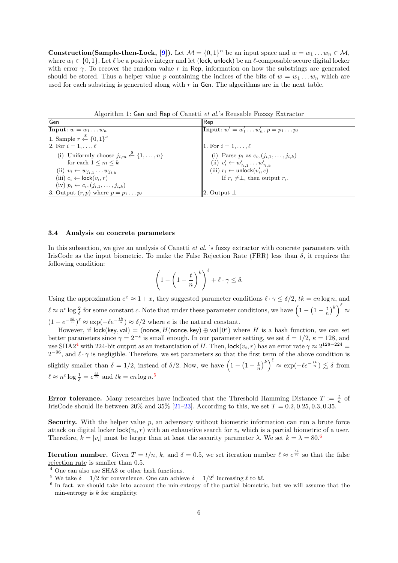**Construction(Sample-then-Lock, [\[9\]](#page-11-4)).** Let  $\mathcal{M} = \{0, 1\}^n$  be an input space and  $w = w_1 \dots w_n \in \mathcal{M}$ , where  $w_i \in \{0, 1\}$ . Let  $\ell$  be a positive integer and let (lock, unlock) be an  $\ell$ -composable secure digital locker with error  $\gamma$ . To recover the random value r in Rep, information on how the substrings are generated should be stored. Thus a helper value p containing the indices of the bits of  $w = w_1 \dots w_n$  which are used for each substring is generated along with  $r$  in Gen. The algorithms are in the next table.

Algorithm 1: Gen and Rep of Canetti et al.'s Reusable Fuzzzy Extractor

| Gen                                                           | $ {\sf Rep}$                                                                                           |
|---------------------------------------------------------------|--------------------------------------------------------------------------------------------------------|
| <b>Input:</b> $w = w_1 \dots w_n$                             | <b>Input:</b> $w' = w'_1 \dots w'_n, p = p_1 \dots p_\ell$                                             |
| 1. Sample $r \stackrel{\$}{\leftarrow} \{0,1\}^{\kappa}$      |                                                                                                        |
| 2. For $i=1,\ldots,\ell$                                      | 1. For $i=1,\ldots,\ell$                                                                               |
| (i) Uniformly choose $j_{i,m} \xleftarrow{\$} \{1,\ldots,n\}$ | (i) Parse $p_i$ as $c_i, (j_{i,1},,j_{i,k})$<br>(ii) $v'_i \leftarrow w'_{j_{i,1}} \dots w'_{j_{i,k}}$ |
| for each $1 \leq m \leq k$                                    |                                                                                                        |
| (ii) $v_i \leftarrow w_{j_{i,1}} \dots w_{j_{i,k}}$           | (iii) $r_i \leftarrow \text{unlock}(v'_i, c)$                                                          |
| (iii) $c_i \leftarrow \textsf{lock}(v_i, r)$                  | If $r_i \neq \perp$ , then output $r_i$ .                                                              |
| (iv) $p_i \leftarrow c_i, (j_{i,1}, \ldots, j_{i,k})$         |                                                                                                        |
| 3. Output $(r, p)$ where $p = p_1 \dots p_\ell$               | $ 2.$ Output $\perp$                                                                                   |

## <span id="page-5-3"></span>3.4 Analysis on concrete parameters

In this subsection, we give an analysis of Canetti *et al.* 's fuzzy extractor with concrete parameters with IrisCode as the input biometric. To make the False Rejection Rate (FRR) less than  $\delta$ , it requires the following condition:

$$
\left(1 - \left(1 - \frac{t}{n}\right)^k\right)^{\ell} + \ell \cdot \gamma \le \delta.
$$

Using the approximation  $e^x \approx 1 + x$ , they suggested parameter conditions  $\ell \cdot \gamma \leq \delta/2$ ,  $tk = cn \log n$ , and  $\ell \approx n^c \log \frac{2}{\delta}$  for some constant c. Note that under these parameter conditions, we have  $\left(1-\left(1-\frac{t}{n}\right)^k\right)^{\ell} \approx$  $(1 - e^{-\frac{tk}{n}})^{\ell} \approx \exp(-\ell e^{-\frac{tk}{n}}) \approx \delta/2$  where e is the natural constant.

However, if  $lock(key,val) = (none, H(none, key) \oplus val||0<sup>s</sup>)$  where H is a hash function, we can set better parameters since  $\gamma = 2^{-s}$  is small enough. In our parameter setting, we set  $\delta = 1/2$ ,  $\kappa = 128$ , and use SHA2<sup>[4](#page-5-0)</sup> with 224-bit output as an instantiation of H. Then,  $\mathsf{lock}(v_i, r)$  has an error rate  $\gamma \approx 2^{128-224}$  $2^{-96}$ , and  $\ell \cdot \gamma$  is negligible. Therefore, we set parameters so that the first term of the above condition is slightly smaller than  $\delta = 1/2$ , instead of  $\delta/2$ . Now, we have  $\left(1 - \left(1 - \frac{t}{n}\right)^k\right)^{\ell} \approx \exp(-\ell e^{-\frac{tk}{n}}) \lesssim \delta$  from  $\ell \approx n^c \log \frac{1}{\delta} = e^{\frac{tk}{n}}$  and  $tk = cn \log n$ .<sup>[5](#page-5-1)</sup>

**Error tolerance.** Many researches have indicated that the Threshold Hamming Distance  $T := \frac{t}{n}$  of IrisCode should lie between 20% and 35% [\[21–](#page-11-15)[23\]](#page-11-16). According to this, we set  $T = 0.2, 0.25, 0.3, 0.35$ .

Security. With the helper value  $p$ , an adversary without biometric information can run a brute force attack on digital locker  $\mathsf{lock}(v_i, r)$  with an exhaustive search for  $v_i$  which is a partial biometric of a user. Therefore,  $k = |v_i|$  must be larger than at least the security parameter  $\lambda$ . We set  $k = \lambda = 80$ .<sup>[6](#page-5-2)</sup>

**Iteration number.** Given  $T = t/n$ , k, and  $\delta = 0.5$ , we set iteration number  $\ell \approx e^{\frac{tk}{n}}$  so that the false rejection rate is smaller than 0.5.

- <span id="page-5-0"></span><sup>4</sup> One can also use SHA3 or other hash functions.
- <span id="page-5-1"></span><sup>5</sup> We take  $\delta = 1/2$  for convenience. One can achieve  $\delta = 1/2^b$  increasing  $\ell$  to b $\ell$ .
- <span id="page-5-2"></span><sup>6</sup> In fact, we should take into account the min-entropy of the partial biometric, but we will assume that the min-entropy is  $k$  for simplicity.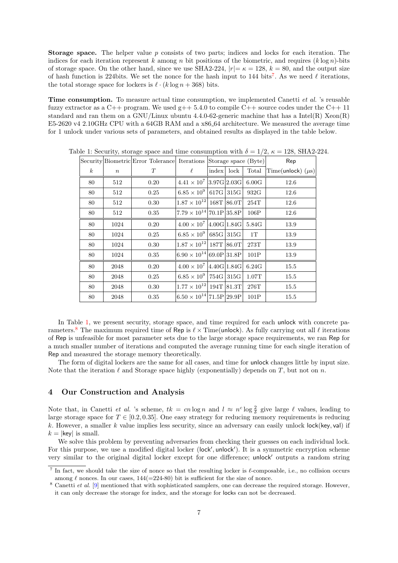Storage space. The helper value p consists of two parts; indices and locks for each iteration. The indices for each iteration represent k among n bit positions of the biometric, and requires  $(k \log n)$ -bits of storage space. On the other hand, since we use SHA2-224,  $|r| = \kappa = 128$ ,  $k = 80$ , and the output size of hash function is 224 bits. We set the nonce for the hash input to 144 bits<sup>[7](#page-6-2)</sup>. As we need  $\ell$  iterations, the total storage space for lockers is  $\ell \cdot (k \log n + 368)$  bits.

Time consumption. To measure actual time consumption, we implemented Canetti et al. 's reusable fuzzy extractor as a  $C_{++}$  program. We used  $g_{++}$  5.4.0 to compile  $C_{++}$  source codes under the  $C_{++}$  11 standard and ran them on a GNU/Linux ubuntu  $4.4.0$ -62-generic machine that has a Intel(R) Xeon(R) E5-2620 v4 2.10GHz CPU with a 64GB RAM and a x86 64 architecture. We measured the average time for 1 unlock under various sets of parameters, and obtained results as displayed in the table below.

|                  |       |      | Security Biometric Error Tolerance Iterations Storage space (Byte) Rep |  |              |                  |                                              |
|------------------|-------|------|------------------------------------------------------------------------|--|--------------|------------------|----------------------------------------------|
| $\boldsymbol{k}$ | $\,n$ | T    | $\ell^-$                                                               |  | index   lock |                  | Total $ \text{Time}(\text{unlock}) (\mu s) $ |
| 80               | 512   | 0.20 | $4.41 \times 10^7$ 3.97G 2.03G 6.00G                                   |  |              |                  | 12.6                                         |
| 80               | 512   | 0.25 | $6.85 \times 10^9$ 617G 315G                                           |  |              | $932 \mathbf{G}$ | 12.6                                         |
| 80               | 512   | 0.30 | $1.87 \times 10^{12}   168T   86.0T  $                                 |  |              | $254\mathrm{T}$  | 12.6                                         |
| 80               | 512   | 0.35 | $7.79 \times 10^{14}   70.1P   35.8P  $                                |  |              | $106P$           | 12.6                                         |
| 80               | 1024  | 0.20 | $4.00 \times 10^7$ 4.00G 1.84G 5.84G                                   |  |              |                  | 13.9                                         |
| 80               | 1024  | 0.25 | $6.85 \times 10^9$ 685G 315G                                           |  |              | 1T               | 13.9                                         |
| 80               | 1024  | 0.30 | $1.87 \times 10^{12}   187 \text{T}   86.0 \text{T}  $                 |  |              | 273T             | 13.9                                         |
| 80               | 1024  | 0.35 | $6.90 \times 10^{14}   69.0P   31.8P  $                                |  |              | 101P             | 13.9                                         |
| 80               | 2048  | 0.20 | $4.00 \times 10^7$ 4.40G 1.84G                                         |  |              | 6.24G            | 15.5                                         |
| 80               | 2048  | 0.25 | $6.85 \times 10^9$ 754G 315G                                           |  |              | $1.07\mathrm{T}$ | 15.5                                         |
| 80               | 2048  | 0.30 | $1.77 \times 10^{12}   194T   81.3T   276T$                            |  |              |                  | 15.5                                         |
| 80               | 2048  | 0.35 | $ 6.50 \times 10^{14}  71.5P  29.9P $                                  |  |              | 101P             | 15.5                                         |

<span id="page-6-0"></span>Table 1: Security, storage space and time consumption with  $\delta = 1/2$ ,  $\kappa = 128$ , SHA2-224.

In Table [1,](#page-6-0) we present security, storage space, and time required for each unlock with concrete pa-rameters.<sup>[8](#page-6-3)</sup> The maximum required time of Rep is  $\ell \times$  Time(unlock). As fully carrying out all  $\ell$  iterations of Rep is unfeasible for most parameter sets due to the large storage space requirements, we ran Rep for a much smaller number of iterations and computed the average running time for each single iteration of Rep and measured the storage memory theoretically.

The form of digital lockers are the same for all cases, and time for unlock changes little by input size. Note that the iteration  $\ell$  and Storage space highly (exponentially) depends on T, but not on n.

## <span id="page-6-1"></span>4 Our Construction and Analysis

Note that, in Canetti *et al.* 's scheme,  $tk = cn \log n$  and  $l \approx n^c \log \frac{2}{\delta}$  give large  $\ell$  values, leading to large storage space for  $T \in [0.2, 0.35]$ . One easy strategy for reducing memory requirements is reducing k. However, a smaller k value implies less security, since an adversary can easily unlock  $|$ ock $|$ (key, val) if  $k = |\text{key}|$  is small.

We solve this problem by preventing adversaries from checking their guesses on each individual lock. For this purpose, we use a modified digital locker (lock', unlock'). It is a symmetric encryption scheme very similar to the original digital locker except for one difference; unlock outputs a random string

<span id="page-6-2"></span><sup>&</sup>lt;sup>7</sup> In fact, we should take the size of nonce so that the resulting locker is  $\ell$ -composable, i.e., no collision occurs among  $\ell$  nonces. In our cases,  $144(=224-80)$  bit is sufficient for the size of nonce.

<span id="page-6-3"></span> $8$  Canetti et al. [\[9\]](#page-11-4) mentioned that with sophisticated samplers, one can decrease the required storage. However, it can only decrease the storage for index, and the storage for locks can not be decreased.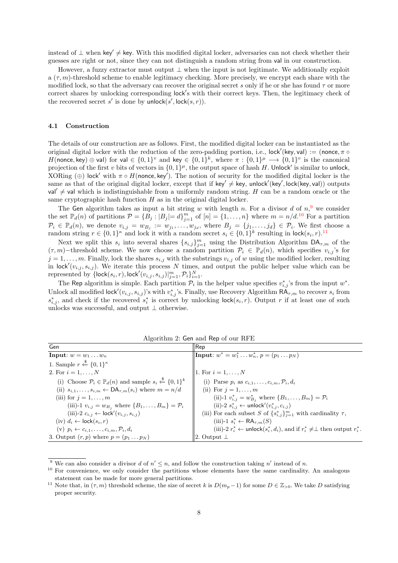instead of  $\perp$  when key'  $\neq$  key. With this modified digital locker, adversaries can not check whether their guesses are right or not, since they can not distinguish a random string from val in our construction.

However, a fuzzy extractor must output  $\perp$  when the input is not legitimate. We additionally exploit  $a(\tau, m)$ -threshold scheme to enable legitimacy checking. More precisely, we encrypt each share with the modified lock, so that the adversary can recover the original secret s only if he or she has found  $\tau$  or more correct shares by unlocking corresponding lock's with their correct keys. Then, the legitimacy check of the recovered secret s' is done by unlock(s',  $\mathsf{lock}(s, r)$ ).

#### 4.1 Construction

The details of our construction are as follows. First, the modified digital locker can be instantiated as the original digital locker with the reduction of the zero-padding portion, i.e., lock'(key, val) := (nonce,  $\pi \circ$ H(nonce, key)  $\oplus$  val) for val  $\in \{0,1\}^v$  and key  $\in \{0,1\}^k$ , where  $\pi : \{0,1\}^\mu \longrightarrow \{0,1\}^v$  is the canonical projection of the first v bits of vectors in  $\{0,1\}^{\mu}$ , the output space of hash H. Unlock' is similar to unlock, XORing ( $\oplus$ ) lock' with  $\pi \circ H$ (nonce, key'). The notion of security for the modified digital locker is the same as that of the original digital locker, except that if key'  $\neq$  key, unlock' (key', lock (key, val)) outputs val'  $\neq$  val which is indistinguishable from a uniformly random string. H can be a random oracle or the same cryptographic hash function  $H$  as in the original digital locker.

The Gen algorithm takes as input a bit string w with length n. For a divisor d of  $n<sup>9</sup>$  $n<sup>9</sup>$  $n<sup>9</sup>$ , we consider the set  $\mathbb{P}_d(n)$  of partitions  $\mathcal{P} = \{B_j : |B_j| = d\}_{j=1}^m$  of  $[n] = \{1, \ldots, n\}$  where  $m = n/d$ .<sup>[10](#page-7-1)</sup> For a partition  $\mathcal{P}_i \in \mathbb{P}_d(n)$ , we denote  $v_{i,j} = w_{B_j} := w_{j_1}, \ldots, w_{j_d}$ , where  $B_j = \{j_1, \ldots, j_d\} \in \mathcal{P}_i$ . We first choose a random string  $r \in \{0,1\}^{\kappa}$  and lock it with a random secret  $s_i \in \{0,1\}^k$  resulting in lock $(s_i, r)$ .<sup>[11](#page-7-2)</sup>

Next we split this  $s_i$  into several shares  $\{s_{i,j}\}_{j=1}^m$  using the Distribution Algorithm  $\mathsf{DA}_{\tau,m}$  of the  $(\tau, m)$ −threshold scheme. We now choose a random partition  $\mathcal{P}_i \in \mathbb{P}_d(n)$ , which specifies  $v_{i,j}$ 's for  $j = 1, \ldots, m$ . Finally, lock the shares  $s_{i,j}$  with the substrings  $v_{i,j}$  of w using the modified locker, resulting in lock' $(v_{i,j}, s_{i,j})$ . We iterate this process N times, and output the public helper value which can be represented by  $\{\mathsf{lock}(s_i, r), \mathsf{lock}'(v_{i,j}, s_{i,j})\}_{j=1}^m, \mathcal{P}_i\}_{i=1}^N.$ 

The Rep algorithm is simple. Each partition  $\mathcal{P}_i$  in the helper value specifies  $v_{i,j}^*$ 's from the input  $w^*$ . Unlock all modified lock' $(v_{i,j}, s_{i,j})$ 's with  $v_{i,j}^*$ 's. Finally, use Recovery Algorithm  $R\tilde{A}_{\tau,m}$  to recover  $s_i$  from  $s_{i,j}^*$ , and check if the recovered  $s_i^*$  is correct by unlocking lock $(s_i, r)$ . Output r if at least one of such unlocks was successful, and output  $\perp$  otherwise.

<span id="page-7-3"></span>

| Gen                                                                                                 | $ {\sf Rep}$                                                                                       |
|-----------------------------------------------------------------------------------------------------|----------------------------------------------------------------------------------------------------|
| Input: $w = w_1 \dots w_n$                                                                          | <b>Input:</b> $w^* = w_1^* \dots w_n^*$ , $p = (p_1 \dots p_N)$                                    |
| 1. Sample $r \stackrel{\$}{\leftarrow} \{0,1\}^{\kappa}$                                            |                                                                                                    |
| 2. For $i = 1, , N$                                                                                 | 1. For $i = 1, , N$                                                                                |
| (i) Choose $\mathcal{P}_i \in \mathbb{P}_d(n)$ and sample $s_i \stackrel{\$}{\leftarrow} \{0,1\}^k$ | (i) Parse $p_i$ as $c_{i,1}, \ldots, c_{i,m}, \mathcal{P}_i, d_i$                                  |
| (ii) $s_{i,1},\ldots,s_{i,m} \leftarrow \mathsf{DA}_{\tau,m}(s_i)$ where $m = n/d$                  | (ii) For $j=1,\ldots,m$                                                                            |
| (iii) for $j = 1, \ldots, m$                                                                        | (ii)-1 $v_{i,j}^* = w_{B_i}^*$ where $\{B_1, \ldots, B_m\} = \mathcal{P}_i$                        |
| (iii)-1 $v_{i,j} = w_{B_j}$ where $\{B_1, \ldots, B_m\} = \mathcal{P}_i$                            | (ii)-2 $s_{i,j}^*$ ← unlock'( $v_{i,j}^*, c_{i,j}$ )                                               |
| (iii)-2 $c_{i,j} \leftarrow \text{lock}'(v_{i,j}, s_{i,j})$                                         | (iii) For each subset S of $\{s_{i,j}^*\}_{j=1}^m$ with cardinality $\tau$ ,                       |
| $(iv) d_i \leftarrow \textsf{lock}(s_i, r)$                                                         | $(iii)$ -1 $s_i^* \leftarrow \textsf{RA}_{\tau,m}(S)$                                              |
| $(v)$ $p_i \leftarrow c_{i,1}, \ldots, c_{i,m}, \mathcal{P}_i, d_i$                                 | (iii)-2 $r_i^* \leftarrow$ unlock $(s_i^*, d_i)$ , and if $r_i^* \neq \perp$ then output $r_i^*$ . |
| 3. Output $(r, p)$ where $p = (p_1 \dots p_N)$                                                      | 2. Output $\perp$                                                                                  |

Algorithm 2: Gen and Rep of our RFE

<span id="page-7-0"></span><sup>&</sup>lt;sup>9</sup> We can also consider a divisor d of  $n' \leq n$ , and follow the construction taking n' instead of n.

<span id="page-7-1"></span><sup>&</sup>lt;sup>10</sup> For convenience, we only consider the partitions whose elements have the same cardinality. An analogous statement can be made for more general partitions.

<span id="page-7-2"></span><sup>&</sup>lt;sup>11</sup> Note that, in  $(\tau, m)$  threshold scheme, the size of secret k is  $D(m_p - 1)$  for some  $D \in \mathbb{Z}_{>0}$ . We take D satisfying proper security.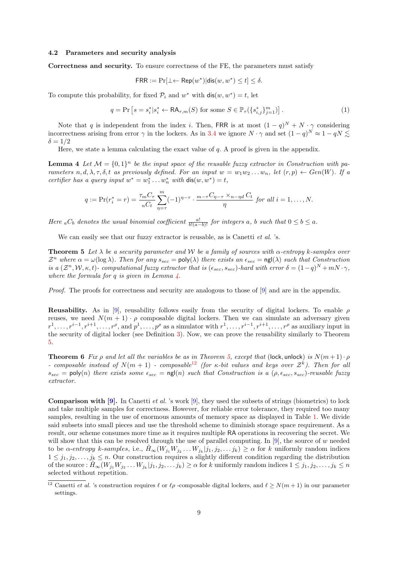#### 4.2 Parameters and security analysis

Correctness and security. To ensure correctness of the FE, the parameters must satisfy

$$
\mathsf{FRR} := \Pr[\bot \leftarrow \mathsf{Rep}(w^*) | \mathsf{dis}(w, w^*) \le t] \le \delta.
$$

To compute this probability, for fixed  $\mathcal{P}_i$  and  $w^*$  with  $\textsf{dis}(w, w^*) = t$ , let

$$
q = \Pr\left[s = s_i^* | s_i^* \leftarrow \mathsf{RA}_{\tau,m}(S) \text{ for some } S \in \mathbb{P}_{\tau}(\{s_{i,j}^*\}_{j=1}^m)\right].
$$
 (1)

Note that q is independent from the index i. Then, FRR is at most  $(1-q)^N + N \cdot \gamma$  considering incorrectness arising from error  $\gamma$  in the lockers. As in [3.4](#page-5-3) we ignore  $N \cdot \gamma$  and set  $(1-q)^N \approx 1-qN \lesssim$  $\delta = 1/2$ 

Here, we state a lemma calculating the exact value of  $q$ . A proof is given in the appendix.

<span id="page-8-0"></span>**Lemma 4** Let  $M = \{0, 1\}^n$  be the input space of the reusable fuzzy extractor in Construction with parameters n, d,  $\lambda$ ,  $\tau$ ,  $\delta$ , t as previously defined. For an input  $w = w_1w_2 \ldots w_n$ , let  $(r, p) \leftarrow Gen(W)$ . If a certifier has a query input  $w^* = w_1^* \dots w_n^*$  with  $dis(w, w^*) = t$ ,

$$
q := \Pr(r_i^* = r) = \frac{\tau_m C_\tau}{nC_t} \sum_{\eta=\tau}^m (-1)^{\eta-\tau} \cdot \frac{m-\tau C_{\eta-\tau} \times_{n-\eta d} C_t}{\eta} \text{ for all } i = 1,\ldots,N.
$$

Here <sub>a</sub> $C_b$  denotes the usual binomial coefficient  $\frac{a!}{b!(a-b)!}$  for integers a, b such that  $0 \leq b \leq a$ .

We can easily see that our fuzzy extractor is reusable, as is Canetti *et al.* 's.

<span id="page-8-1"></span>**Theorem 5** Let  $\lambda$  be a security parameter and W be a family of sources with  $\alpha$ -entropy k-samples over  $\mathcal{Z}^n$  where  $\alpha = \omega(\log \lambda)$ . Then for any  $s_{sec} = \text{poly}(\lambda)$  there exists an  $\epsilon_{sec} = \text{ngl}(\lambda)$  such that Construction is a  $(\mathcal{Z}^n, \mathcal{W}, \kappa, t)$ - computational fuzzy extractor that is  $(\epsilon_{sec}, s_{sec})$ -hard with error  $\delta = (1-q)^N + mN \cdot \gamma$ , where the formula for q is given in Lemma  $\lambda$ .

Proof. The proofs for correctness and security are analogous to those of [\[9\]](#page-11-4) and are in the appendix.

Reusability. As in [\[9\]](#page-11-4), reusability follows easily from the security of digital lockers. To enable  $\rho$ reuses, we need  $N(m + 1) \cdot \rho$  composable digital lockers. Then we can simulate an adversary given  $r^1, \ldots, r^{i-1}, r^{i+1}, \ldots, r^{\rho}$ , and  $p^1, \ldots, p^{\rho}$  as a simulator with  $r^1, \ldots, r^{i-1}, r^{i+1}, \ldots, r^{\rho}$  as auxiliary input in the security of digital locker (see Definition [3\)](#page-4-1). Now, we can prove the reusability similarly to Theorem [5.](#page-8-1)

**Theorem 6** Fix  $\rho$  and let all the variables be as in Theorem [5,](#page-8-1) except that (lock, unlock) is  $N(m+1)\cdot \rho$ - composable instead of  $N(m + 1)$  - composable<sup>[12](#page-8-2)</sup> (for  $\kappa$ -bit values and keys over  $\mathcal{Z}^k$ ). Then for all  $s_{sec} = \text{poly}(n)$  there exists some  $\epsilon_{sec} = \text{ngl}(n)$  such that Construction is a  $(\rho, \epsilon_{sec}, s_{sec})$ -reusable fuzzy extractor.

**Comparison with [\[9\]](#page-11-4).** In Canetti *et al.* 's work [9], they used the subsets of strings (biometrics) to lock and take multiple samples for correctness. However, for reliable error tolerance, they required too many samples, resulting in the use of enormous amounts of memory space as displayed in Table [1.](#page-6-0) We divide said subsets into small pieces and use the threshold scheme to diminish storage space requirement. As a result, our scheme consumes more time as it requires multiple RA operations in recovering the secret. We will show that this can be resolved through the use of parallel computing. In [\[9\]](#page-11-4), the source of w needed to be  $\alpha$ -entropy k-samples, i.e.,  $\tilde{H}_{\infty}(W_{j_1}W_{j_2}\ldots W_{j_k}|j_1,j_2,\ldots j_k) \geq \alpha$  for k uniformly random indices  $1 \leq j_1, j_2, \ldots, j_k \leq n$ . Our construction requires a slightly different condition regarding the distribution of the source :  $\tilde{H}_{\infty}(W_{j_1}W_{j_2}\ldots W_{j_k}|j_1,j_2,\ldots j_k)\geq \alpha$  for k uniformly random indices  $1\leq j_1,j_2,\ldots,j_k\leq n$ selected without repetition.

<span id="page-8-2"></span><sup>&</sup>lt;sup>12</sup> Canetti *et al.* 's construction requires  $\ell$  or  $\ell \rho$  -composable digital lockers, and  $\ell \ge N(m + 1)$  in our parameter settings.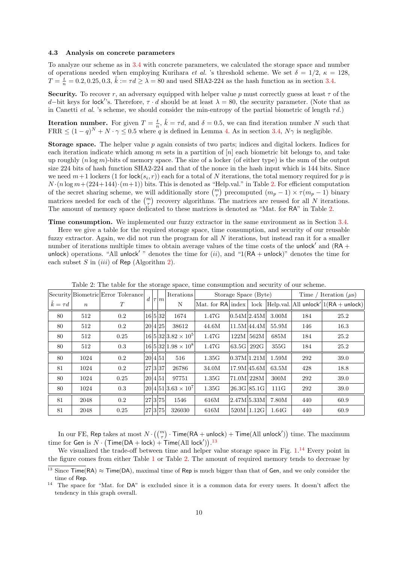#### 4.3 Analysis on concrete parameters

To analyze our scheme as in [3.4](#page-5-3) with concrete parameters, we calculated the storage space and number of operations needed when employing Kurihara *et al.* 's threshold scheme. We set  $\delta = 1/2$ ,  $\kappa = 128$ ,  $T = \frac{t}{n} = 0.2, 0.25, 0.3, \tilde{k} := \tau d \ge \lambda = 80$  and used SHA2-224 as the hash function as in section [3.4.](#page-5-3)

Security. To recover r, an adversary equipped with helper value p must correctly guess at least  $\tau$  of the d–bit keys for lock''s. Therefore,  $\tau \cdot d$  should be at least  $\lambda = 80$ , the security parameter. (Note that as in Canetti et al. 's scheme, we should consider the min-entropy of the partial biometric of length  $\tau d$ .)

**Iteration number.** For given  $T = \frac{t}{n}$ ,  $\tilde{k} = \tau d$ , and  $\delta = 0.5$ , we can find iteration number N such that FRR  $\leq (1-q)^N + N \cdot \gamma \leq 0.5$  where q is defined in Lemma [4.](#page-8-0) As in section [3.4,](#page-5-3)  $N\gamma$  is negligible.

**Storage space.** The helper value  $p$  again consists of two parts; indices and digital lockers. Indices for each iteration indicate which among m sets in a partition of  $[n]$  each biometric bit belongs to, and take up roughly  $(n \log m)$ -bits of memory space. The size of a locker (of either type) is the sum of the output size 224 bits of hash function SHA2-224 and that of the nonce in the hash input which is 144 bits. Since we need  $m+1$  lockers  $(1 \text{ for } \text{lock}(s_i, r))$  each for a total of N iterations, the total memory required for p is  $N \cdot (n \log m + (224+144) \cdot (m+1))$  bits. This is denoted as "Help.val." in Table [2.](#page-9-0) For efficient computation of the secret sharing scheme, we will additionally store  $\binom{m}{\tau}$  precomputed  $(m_p - 1) \times \tau(m_p - 1)$  binary matrices needed for each of the  $\binom{m}{\tau}$  recovery algorithms. The matrices are reused for all N iterations. The amount of memory space dedicated to these matrices is denoted as "Mat. for RA" in Table [2.](#page-9-0)

Time consumption. We implemented our fuzzy extractor in the same environment as in Section [3.4.](#page-5-3)

Here we give a table for the required storage space, time consumption, and security of our reusable fuzzy extractor. Again, we did not run the program for all  $N$  iterations, but instead ran it for a smaller number of iterations multiple times to obtain average values of the time costs of the unlock and  $(RA +$ unlock) operations. "All unlock'" denotes the time for  $(ii)$ , and "1(RA + unlock)" denotes the time for each subset  $S$  in  $(iii)$  of Rep (Algorithm [2\)](#page-7-3).

<span id="page-9-0"></span>

|                      |                  | Security Biometric Error Tolerance |                                 | $d\left \tau\right m$ |         | Iterations                 | Storage Space (Byte) |             |               |       | Time / Iteration $(\mu s)$                                                                          |      |
|----------------------|------------------|------------------------------------|---------------------------------|-----------------------|---------|----------------------------|----------------------|-------------|---------------|-------|-----------------------------------------------------------------------------------------------------|------|
| $\tilde{k} = \tau d$ | $\boldsymbol{n}$ | T                                  |                                 |                       | N       |                            |                      |             |               |       | $\vert$ Mat. for RA $\vert$ index $\vert$ lock $\vert$ Help.val. All unlock' $\vert$ 1(RA + unlock) |      |
| 80                   | 512              | $0.2\,$                            |                                 |                       | 16 5 32 | 1674                       | 1.47G                | 0.54M 2.45M |               | 3.00M | 184                                                                                                 | 25.2 |
| 80                   | 512              | $0.2\,$                            |                                 |                       | 20 4 25 | 38612                      | 44.6M                | 11.5M 44.4M |               | 55.9M | 146                                                                                                 | 16.3 |
| 80                   | 512              | 0.25                               |                                 |                       |         | $16 5 32 3.82\times10^5$   | 1.47G                |             | 122M/562M     | 685M  | 184                                                                                                 | 25.2 |
| 80                   | 512              | 0.3                                |                                 |                       |         | $16 5 32 1.98\times10^8$   | 1.47G                |             | 63.5G  292G   | 355G  | 184                                                                                                 | 25.2 |
| 80                   | 1024             | $0.2\,$                            |                                 |                       | 20 4 51 | 516                        | 1.35G                | 0.37M 1.21M |               | 1.59M | 292                                                                                                 | 39.0 |
| 81                   | 1024             | $0.2\,$                            | $\left\vert 27 3 37\right\vert$ |                       |         | 26786                      | 34.0M                | 17.9M 45.6M |               | 63.5M | 428                                                                                                 | 18.8 |
| 80                   | 1024             | 0.25                               |                                 |                       | 20 4 51 | 97751                      | 1.35G                | 71.0M 228M  |               | 300M  | 292                                                                                                 | 39.0 |
| 80                   | 1024             | 0.3                                |                                 |                       |         | $ 20 4 51 3.63\times10^7 $ | 1.35G                |             | $26.3G$ 85.1G | 111G  | 292                                                                                                 | 39.0 |
| 81                   | 2048             | $0.2\,$                            |                                 |                       | 27 3 75 | 1546                       | 616M                 | 2.47M 5.33M |               | 7.80M | 440                                                                                                 | 60.9 |
| 81                   | 2048             | 0.25                               |                                 |                       | 27 3 75 | 326030                     | 616M                 |             | 520M/1.12G    | 1.64G | 440                                                                                                 | 60.9 |

Table 2: The table for the storage space, time consumption and security of our scheme.

In our FE, Rep takes at most  $N \cdot \binom{m}{\tau} \cdot \mathsf{Time}(\mathsf{RA}+\mathsf{unlock}) + \mathsf{Time}(\mathsf{All}\ \mathsf{unlock}'))$  time. The maximum time for Gen is  $N \cdot (Time(DA + lock) + Time(AIl lock'))^{13}$  $N \cdot (Time(DA + lock) + Time(AIl lock'))^{13}$  $N \cdot (Time(DA + lock) + Time(AIl lock'))^{13}$ 

We visualized the trade-off between time and helper value storage space in Fig. [1.](#page-10-2)<sup>[14](#page-9-2)</sup> Every point in the figure comes from either Table [1](#page-6-0) or Table [2.](#page-9-0) The amount of required memory tends to decrease by

<span id="page-9-1"></span><sup>&</sup>lt;sup>13</sup> Since  $Time(RA) \approx Time(DA)$ , maximal time of Rep is much bigger than that of Gen, and we only consider the time of Rep.

<span id="page-9-2"></span><sup>14</sup> The space for "Mat. for DA" is excluded since it is a common data for every users. It doesn't affect the tendency in this graph overall.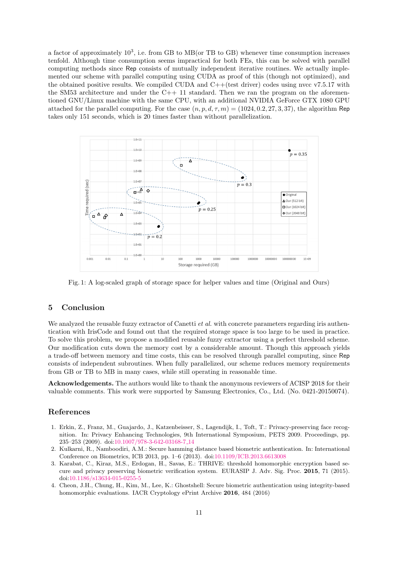a factor of approximately  $10^3$ , i.e. from GB to MB(or TB to GB) whenever time consumption increases tenfold. Although time consumption seems impractical for both FEs, this can be solved with parallel computing methods since Rep consists of mutually independent iterative routines. We actually implemented our scheme with parallel computing using CUDA as proof of this (though not optimized), and the obtained positive results. We compiled CUDA and  $C++$  (test driver) codes using nvcc v7.5.17 with the SM53 architecture and under the  $C++11$  standard. Then we ran the program on the aforementioned GNU/Linux machine with the same CPU, with an additional NVIDIA GeForce GTX 1080 GPU attached for the parallel computing. For the case  $(n, p, d, \tau, m) = (1024, 0.2, 27, 3, 37)$ , the algorithm Rep takes only 151 seconds, which is 20 times faster than without parallelization.

<span id="page-10-2"></span>

Fig. 1: A log-scaled graph of storage space for helper values and time (Original and Ours)

## 5 Conclusion

We analyzed the reusable fuzzy extractor of Canetti *et al.* with concrete parameters regarding iris authentication with IrisCode and found out that the required storage space is too large to be used in practice. To solve this problem, we propose a modified reusable fuzzy extractor using a perfect threshold scheme. Our modification cuts down the memory cost by a considerable amount. Though this approach yields a trade-off between memory and time costs, this can be resolved through parallel computing, since Rep consists of independent subroutines. When fully parallelized, our scheme reduces memory requirements from GB or TB to MB in many cases, while still operating in reasonable time.

Acknowledgements. The authors would like to thank the anonymous reviewers of ACISP 2018 for their valuable comments. This work were supported by Samsung Electronics, Co., Ltd. (No. 0421-20150074).

## References

- <span id="page-10-0"></span>1. Erkin, Z., Franz, M., Guajardo, J., Katzenbeisser, S., Lagendijk, I., Toft, T.: Privacy-preserving face recognition. In: Privacy Enhancing Technologies, 9th International Symposium, PETS 2009. Proceedings, pp. 235–253 (2009). doi[:10.1007/978-3-642-03168-7](http://dx.doi.org/10.1007/978-3-642-03168-7_14) 14
- 2. Kulkarni, R., Namboodiri, A.M.: Secure hamming distance based biometric authentication. In: International Conference on Biometrics, ICB 2013, pp. 1–6 (2013). doi[:10.1109/ICB.2013.6613008](http://dx.doi.org/10.1109/ICB.2013.6613008)
- 3. Karabat, C., Kiraz, M.S., Erdogan, H., Savas, E.: THRIVE: threshold homomorphic encryption based secure and privacy preserving biometric verification system. EURASIP J. Adv. Sig. Proc. 2015, 71 (2015). doi[:10.1186/s13634-015-0255-5](http://dx.doi.org/10.1186/s13634-015-0255-5)
- <span id="page-10-1"></span>4. Cheon, J.H., Chung, H., Kim, M., Lee, K.: Ghostshell: Secure biometric authentication using integrity-based homomorphic evaluations. IACR Cryptology ePrint Archive 2016, 484 (2016)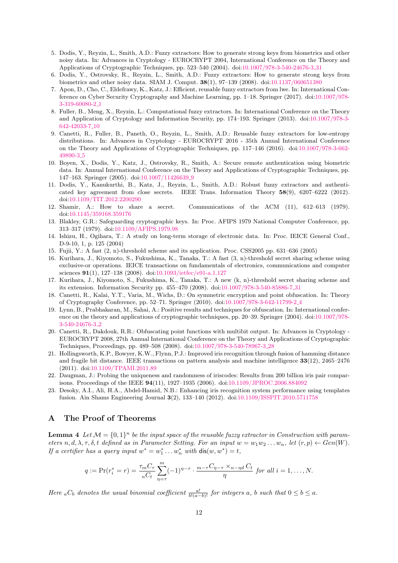- <span id="page-11-0"></span>5. Dodis, Y., Reyzin, L., Smith, A.D.: Fuzzy extractors: How to generate strong keys from biometrics and other noisy data. In: Advances in Cryptology - EUROCRYPT 2004, International Conference on the Theory and Applications of Cryptographic Techniques, pp. 523–540 (2004). doi[:10.1007/978-3-540-24676-3](http://dx.doi.org/10.1007/978-3-540-24676-3_31) 31
- <span id="page-11-1"></span>6. Dodis, Y., Ostrovsky, R., Reyzin, L., Smith, A.D.: Fuzzy extractors: How to generate strong keys from biometrics and other noisy data. SIAM J. Comput. 38(1), 97–139 (2008). doi[:10.1137/060651380](http://dx.doi.org/10.1137/060651380)
- <span id="page-11-2"></span>7. Apon, D., Cho, C., Eldefrawy, K., Katz, J.: Efficient, reusable fuzzy extractors from lwe. In: International Conference on Cyber Security Cryptography and Machine Learning, pp. 1–18. Springer (2017). doi[:10.1007/978-](http://dx.doi.org/10.1007/978-3-319-60080-2_1) [3-319-60080-2](http://dx.doi.org/10.1007/978-3-319-60080-2_1) 1
- <span id="page-11-3"></span>8. Fuller, B., Meng, X., Reyzin, L.: Computational fuzzy extractors. In: International Conference on the Theory and Application of Cryptology and Information Security, pp. 174–193. Springer (2013). doi[:10.1007/978-3-](http://dx.doi.org/10.1007/978-3-642-42033-7_10) [642-42033-7](http://dx.doi.org/10.1007/978-3-642-42033-7_10) 10
- <span id="page-11-4"></span>9. Canetti, R., Fuller, B., Paneth, O., Reyzin, L., Smith, A.D.: Reusable fuzzy extractors for low-entropy distributions. In: Advances in Cryptology - EUROCRYPT 2016 - 35th Annual International Conference on the Theory and Applications of Cryptographic Techniques, pp. 117–146 (2016). doi[:10.1007/978-3-662-](http://dx.doi.org/10.1007/978-3-662-49890-3_5) [49890-3](http://dx.doi.org/10.1007/978-3-662-49890-3_5) 5
- <span id="page-11-5"></span>10. Boyen, X., Dodis, Y., Katz, J., Ostrovsky, R., Smith, A.: Secure remote authentication using biometric data. In: Annual International Conference on the Theory and Applications of Cryptographic Techniques, pp. 147–163. Springer (2005). doi[:10.1007/11426639](http://dx.doi.org/10.1007/11426639_9) 9
- <span id="page-11-6"></span>11. Dodis, Y., Kanukurthi, B., Katz, J., Reyzin, L., Smith, A.D.: Robust fuzzy extractors and authenticated key agreement from close secrets. IEEE Trans. Information Theory 58(9), 6207–6222 (2012). doi[:10.1109/TIT.2012.2200290](http://dx.doi.org/10.1109/TIT.2012.2200290)
- <span id="page-11-7"></span>12. Shamir, A.: How to share a secret. Communications of the ACM (11), 612–613 (1979). doi[:10.1145/359168.359176](http://dx.doi.org/10.1145/359168.359176)
- <span id="page-11-8"></span>13. Blakley, G.R.: Safeguarding cryptographic keys. In: Proc. AFIPS 1979 National Computer Conference, pp. 313–317 (1979). doi[:10.1109/AFIPS.1979.98](http://dx.doi.org/10.1109/AFIPS.1979.98)
- <span id="page-11-9"></span>14. Ishizu, H., Ogihara, T.: A study on long-term storage of electronic data. In: Proc. IEICE General Conf., D-9-10, 1, p. 125 (2004)
- 15. Fujii, Y.: A fast (2, n)-threshold scheme and its application. Proc. CSS2005 pp. 631–636 (2005)
- <span id="page-11-10"></span>16. Kurihara, J., Kiyomoto, S., Fukushima, K., Tanaka, T.: A fast (3, n)-threshold secret sharing scheme using exclusive-or operations. IEICE transactions on fundamentals of electronics, communications and computer sciences 91(1), 127–138 (2008). doi[:10.1093/ietfec/e91-a.1.127](http://dx.doi.org/10.1093/ietfec/e91-a.1.127)
- <span id="page-11-11"></span>17. Kurihara, J., Kiyomoto, S., Fukushima, K., Tanaka, T.: A new (k, n)-threshold secret sharing scheme and its extension. Information Security pp. 455–470 (2008). doi[:10.1007/978-3-540-85886-7](http://dx.doi.org/10.1007/978-3-540-85886-7_31) 31
- <span id="page-11-12"></span>18. Canetti, R., Kalai, Y.T., Varia, M., Wichs, D.: On symmetric encryption and point obfuscation. In: Theory of Cryptography Conference, pp. 52–71. Springer (2010). doi[:10.1007/978-3-642-11799-2](http://dx.doi.org/10.1007/978-3-642-11799-2_4) 4
- <span id="page-11-13"></span>19. Lynn, B., Prabhakaran, M., Sahai, A.: Positive results and techniques for obfuscation. In: International conference on the theory and applications of cryptographic techniques, pp. 20–39. Springer (2004). doi[:10.1007/978-](http://dx.doi.org/10.1007/978-3-540-24676-3_2) [3-540-24676-3](http://dx.doi.org/10.1007/978-3-540-24676-3_2) 2
- <span id="page-11-14"></span>20. Canetti, R., Dakdouk, R.R.: Obfuscating point functions with multibit output. In: Advances in Cryptology - EUROCRYPT 2008, 27th Annual International Conference on the Theory and Applications of Cryptographic Techniques, Proceedings, pp. 489–508 (2008). doi[:10.1007/978-3-540-78967-3](http://dx.doi.org/10.1007/978-3-540-78967-3_28) 28
- <span id="page-11-15"></span>21. Hollingsworth, K.P., Bowyer, K.W., Flynn, P.J.: Improved iris recognition through fusion of hamming distance and fragile bit distance. IEEE transactions on pattern analysis and machine intelligence 33(12), 2465–2476 (2011). doi[:10.1109/TPAMI.2011.89](http://dx.doi.org/10.1109/TPAMI.2011.89)
- 22. Daugman, J.: Probing the uniqueness and randomness of iriscodes: Results from 200 billion iris pair comparisons. Proceedings of the IEEE 94(11), 1927–1935 (2006). doi[:10.1109/JPROC.2006.884092](http://dx.doi.org/10.1109/JPROC.2006.884092)
- <span id="page-11-16"></span>23. Desoky, A.I., Ali, H.A., Abdel-Hamid, N.B.: Enhancing iris recognition system performance using templates fusion. Ain Shams Engineering Journal 3(2), 133–140 (2012). doi[:10.1109/ISSPIT.2010.5711758](http://dx.doi.org/10.1109/ISSPIT.2010.5711758)

## A The Proof of Theorems

**Lemma 4** Let  $M = \{0,1\}^n$  be the input space of the reusable fuzzy extractor in Construction with parameters n, d,  $\lambda$ ,  $\tau$ ,  $\delta$ , t defined as in Parameter Setting. For an input  $w = w_1w_2 \ldots w_n$ , let  $(r, p) \leftarrow Gen(W)$ . If a certifier has a query input  $w^* = w_1^* \dots w_n^*$  with  $dis(w, w^*) = t$ ,

$$
q := \Pr(r_i^* = r) = \frac{\tau_m C_\tau}{nC_t} \sum_{\eta=\tau}^m (-1)^{\eta-\tau} \cdot \frac{m-\tau C_{\eta-\tau} \times_{n-\eta d} C_t}{\eta} \text{ for all } i = 1,\ldots,N.
$$

Here <sub>a</sub> $C_b$  denotes the usual binomial coefficient  $\frac{a!}{b!(a-b)!}$  for integers a, b such that  $0 \leq b \leq a$ .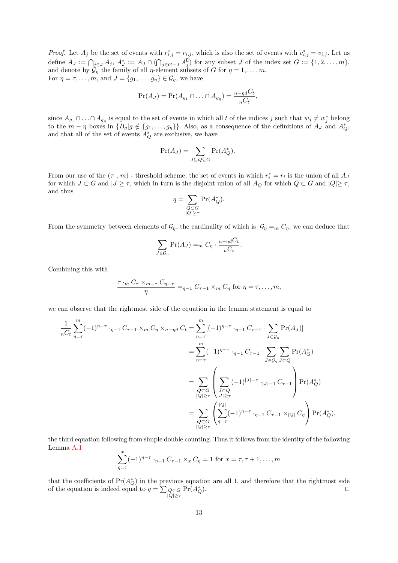*Proof.* Let  $A_j$  be the set of events with  $r_{i,j}^* = r_{i,j}$ , which is also the set of events with  $v_{i,j}^* = v_{i,j}$ . Let us define  $A_J := \bigcap_{j \in J} A_j$ ,  $A_J^* := A_J \cap (\bigcap_{j \in G-J} A_j^{\complement})$  for any subset J of the index set  $G := \{1, 2, ..., m\}$ , and denote by  $\mathcal{G}_{\eta}$  the family of all  $\eta$ -element subsets of G for  $\eta = 1, \ldots, m$ . For  $\eta = \tau, \ldots, m$ , and  $J = \{g_1, \ldots, g_\eta\} \in \mathcal{G}_\eta$ , we have

$$
\Pr(A_J) = \Pr(A_{g_1} \cap \ldots \cap A_{g_\eta}) = \frac{n - \eta dC_t}{nC_t},
$$

since  $A_{g_1} \cap \ldots \cap A_{g_n}$  is equal to the set of events in which all t of the indices j such that  $w_j \neq w_j^*$  belong to the  $m - \eta$  boxes in  $\{B_g | g \notin \{g_1, \ldots, g_\eta\}\}\$ . Also, as a consequence of the definitions of  $A_J$  and  $A_Q^*$ , and that all of the set of events  $A_Q^*$  are exclusive, we have

$$
\Pr(A_J) = \sum_{J \subseteq Q \subseteq G} \Pr(A_Q^*).
$$

From our use of the  $(\tau, m)$  - threshold scheme, the set of events in which  $r_i^* = r_i$  is the union of all  $A_j$ for which  $J \subset G$  and  $|J| \geq \tau$ , which in turn is the disjoint union of all  $A_Q$  for which  $Q \subset G$  and  $|Q| \geq \tau$ , and thus

$$
q = \sum_{\substack{Q \subset G \\ |Q| \ge \tau}} \Pr(A_Q^*).
$$

From the symmetry between elements of  $\mathcal{G}_\eta$ , the cardinality of which is  $|\mathcal{G}_\eta| =_m C_\eta$ , we can deduce that

$$
\sum_{J \in \mathcal{G}_{\eta}} \Pr(A_J) =_m C_{\eta} \cdot \frac{n - \eta dC_t}{nC_t}.
$$

Combining this with

$$
\frac{\tau \cdot_m C_{\tau} \times_{m-\tau} C_{\eta-\tau}}{\eta} =_{\eta-1} C_{\tau-1} \times_m C_{\eta} \text{ for } \eta = \tau, \dots, m,
$$

we can observe that the rightmost side of the equation in the lemma statement is equal to

$$
\frac{1}{nC_t} \sum_{\eta=\tau}^{m} (-1)^{\eta-\tau} \cdot_{\eta-1} C_{\tau-1} \times_m C_{\eta} \times_{n-\eta} C_t = \sum_{\eta=\tau}^{m} [(-1)^{\eta-\tau} \cdot_{\eta-1} C_{\tau-1} \cdot \sum_{J \in \mathcal{G}_{\eta}} \Pr(A_J)]
$$
  
\n
$$
= \sum_{\eta=\tau}^{m} (-1)^{\eta-\tau} \cdot_{\eta-1} C_{\tau-1} \cdot \sum_{J \in \mathcal{G}_{\eta}} \sum_{J \subset Q} \Pr(A_Q^*)
$$
  
\n
$$
= \sum_{\substack{Q \subset G \\ |Q| \ge \tau}} \left( \sum_{\substack{J \subset Q \\ |J| \ge \tau}} (-1)^{|J|-\tau} \cdot_{|J|-1} C_{\tau-1} \right) \Pr(A_Q^*)
$$
  
\n
$$
= \sum_{\substack{Q \subset G \\ |Q| \ge \tau}} \left( \sum_{\eta=\tau}^{|Q|} (-1)^{\eta-\tau} \cdot_{\eta-1} C_{\tau-1} \times_{|Q|} C_{\eta} \right) \Pr(A_Q^*),
$$

the third equation following from simple double counting. Thus it follows from the identity of the following Lemma [A.1](#page-12-0)

$$
\sum_{\eta=\tau}^{x} (-1)^{\eta-\tau} \cdot_{\eta-1} C_{\tau-1} \times_x C_{\eta} = 1 \text{ for } x = \tau, \tau+1, \dots, m
$$

<span id="page-12-0"></span>that the coefficients of  $Pr(A_Q^*)$  in the previous equation are all 1, and therefore that the rightmost side of the equation is indeed equal to  $q = \sum_{\substack{Q \subset G \\ |Q| \geq \tau}}$  $Pr(A_C^*)$  $\bigcirc$ .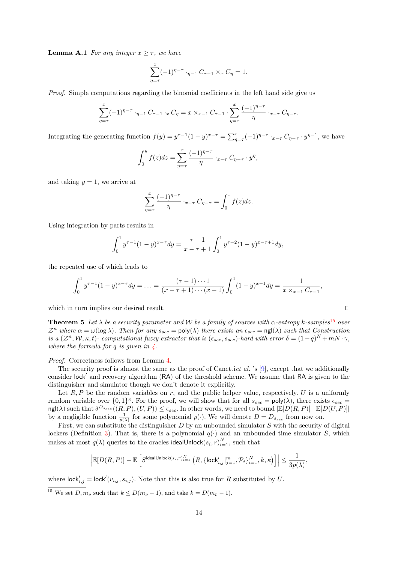**Lemma A.1** For any integer  $x > \tau$ , we have

$$
\sum_{\eta=\tau}^{x} (-1)^{\eta-\tau} \cdot_{\eta-1} C_{\tau-1} \times_x C_{\eta} = 1.
$$

Proof. Simple computations regarding the binomial coefficients in the left hand side give us

$$
\sum_{\eta=\tau}^{x} (-1)^{\eta-\tau} \cdot_{\eta-1} C_{\tau-1} \cdot_{x} C_{\eta} = x \times_{x-1} C_{\tau-1} \cdot \sum_{\eta=\tau}^{x} \frac{(-1)^{\eta-\tau}}{\eta} \cdot_{x-\tau} C_{\eta-\tau}.
$$

Integrating the generating function  $f(y) = y^{\tau-1}(1-y)^{x-\tau} = \sum_{\eta=\tau}^{x} (-1)^{\eta-\tau} \cdot_{x-\tau} C_{\eta-\tau} \cdot y^{\eta-1}$ , we have

$$
\int_0^y f(z)dz = \sum_{\eta=\tau}^x \frac{(-1)^{\eta-\tau}}{\eta} \cdot_{x-\tau} C_{\eta-\tau} \cdot y^{\eta},
$$

and taking  $y = 1$ , we arrive at

$$
\sum_{\eta=\tau}^{x} \frac{(-1)^{\eta-\tau}}{\eta} \cdot_{x-\tau} C_{\eta-\tau} = \int_{0}^{1} f(z) dz.
$$

Using integration by parts results in

$$
\int_0^1 y^{\tau-1} (1-y)^{x-\tau} dy = \frac{\tau-1}{x-\tau+1} \int_0^1 y^{\tau-2} (1-y)^{x-\tau+1} dy,
$$

the repeated use of which leads to

$$
\int_0^1 y^{\tau-1} (1-y)^{x-\tau} dy = \ldots = \frac{(\tau-1)\cdots 1}{(x-\tau+1)\cdots (x-1)} \int_0^1 (1-y)^{x-1} dy = \frac{1}{x \times_{x-1} C_{\tau-1}},
$$

which in turn implies our desired result.  $\Box$ 

**Theorem 5** Let  $\lambda$  be a security parameter and W be a family of sources with  $\alpha$ -entropy k-samples<sup>[15](#page-13-0)</sup> over  $\mathcal{Z}^n$  where  $\alpha = \omega(\log \lambda)$ . Then for any  $s_{sec} = \text{poly}(\lambda)$  there exists an  $\epsilon_{sec} = \text{ngl}(\lambda)$  such that Construction is a  $(\mathcal{Z}^n, \mathcal{W}, \kappa, t)$ - computational fuzzy extractor that is  $(\epsilon_{sec}, s_{sec})$ -hard with error  $\delta = (1-q)^N + mN \cdot \gamma$ , where the formula for  $q$  is given in  $\ddot{4}$ .

Proof. Correctness follows from Lemma [4.](#page-8-0)

The security proof is almost the same as the proof of Canettiet al. 's  $[9]$ , except that we additionally consider lock' and recovery algorithm (RA) of the threshold scheme. We assume that RA is given to the distinguisher and simulator though we don't denote it explicitly.

Let  $R, P$  be the random variables on r, and the public helper value, respectively. U is a uniformly random variable over  $\{0,1\}^{\kappa}$ . For the proof, we will show that for all  $s_{sec} = \text{poly}(\lambda)$ , there exists  $\epsilon_{sec} =$  $\text{ngl}(\lambda)$  such that  $\delta^{D_{s, sec}}((R, P), (U, P)) \leq \epsilon_{sec}$ . In other words, we need to bound  $|\mathbb{E}[D(R, P)] - \mathbb{E}[D(U, P)]|$ by a negligible function  $\frac{1}{p(\lambda)}$  for some polynomial  $p(\cdot)$ . We will denote  $D = D_{s_{sec}}$  from now on.

First, we can substitute the distinguisher  $D$  by an unbounded simulator  $S$  with the security of digital lockers (Definition [3\)](#page-4-1). That is, there is a polynomial  $q(\cdot)$  and an unbounded time simulator S, which makes at most  $q(\lambda)$  queries to the oracles idealUnlock $(s_i, r)_{i=1}^N$ , such that

$$
\Big|\mathbb{E}[D(R,P)]-\mathbb{E}\left[S^{\text{idealUnlock}(s_i,r)_{i=1}^N}\left(R,\{\text{lock}_{i,j}'|_{j=1}^m, \mathcal{P}_i\}_{i=1}^N, k,\kappa\right)\right]\Big|\leq \frac{1}{3p(\lambda)},
$$

where  $\mathsf{lock}'_{i,j} = \mathsf{lock}'(v_{i,j}, s_{i,j})$ . Note that this is also true for R substituted by U.

<span id="page-13-0"></span><sup>&</sup>lt;sup>15</sup> We set  $D, m_p$  such that  $k \le D(m_p - 1)$ , and take  $k = D(m_p - 1)$ .